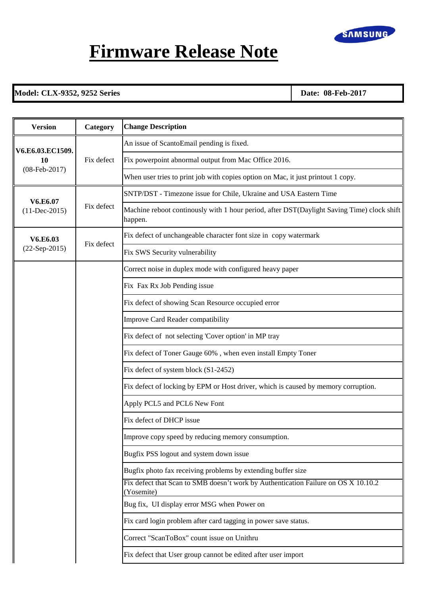

## **Firmware Release Note**

## **Model: CLX-9352, 9252 Series Date: 08-Feb-2017**

| <b>Version</b>                                | Category   | <b>Change Description</b>                                                                             |
|-----------------------------------------------|------------|-------------------------------------------------------------------------------------------------------|
| V6.E6.03.EC1509.<br>10<br>$(08 - Feb - 2017)$ | Fix defect | An issue of ScantoEmail pending is fixed.                                                             |
|                                               |            | Fix powerpoint abnormal output from Mac Office 2016.                                                  |
|                                               |            | When user tries to print job with copies option on Mac, it just printout 1 copy.                      |
| V6.E6.07<br>$(11-Dec-2015)$                   | Fix defect | SNTP/DST - Timezone issue for Chile, Ukraine and USA Eastern Time                                     |
|                                               |            | Machine reboot continously with 1 hour period, after DST(Daylight Saving Time) clock shift<br>happen. |
| V6.E6.03                                      | Fix defect | Fix defect of unchangeable character font size in copy watermark                                      |
| $(22-Sep-2015)$                               |            | Fix SWS Security vulnerability                                                                        |
|                                               |            | Correct noise in duplex mode with configured heavy paper                                              |
|                                               |            | Fix Fax Rx Job Pending issue                                                                          |
|                                               |            | Fix defect of showing Scan Resource occupied error                                                    |
|                                               |            | Improve Card Reader compatibility                                                                     |
|                                               |            | Fix defect of not selecting 'Cover option' in MP tray                                                 |
|                                               |            | Fix defect of Toner Gauge 60%, when even install Empty Toner                                          |
|                                               |            | Fix defect of system block (S1-2452)                                                                  |
|                                               |            | Fix defect of locking by EPM or Host driver, which is caused by memory corruption.                    |
|                                               |            | Apply PCL5 and PCL6 New Font                                                                          |
|                                               |            | Fix defect of DHCP issue                                                                              |
|                                               |            | Improve copy speed by reducing memory consumption.                                                    |
|                                               |            | Bugfix PSS logout and system down issue                                                               |
|                                               |            | Bugfix photo fax receiving problems by extending buffer size                                          |
|                                               |            | Fix defect that Scan to SMB doesn't work by Authentication Failure on OS X 10.10.2<br>(Yosemite)      |
|                                               |            | Bug fix, UI display error MSG when Power on                                                           |
|                                               |            | Fix card login problem after card tagging in power save status.                                       |
|                                               |            | Correct "ScanToBox" count issue on Unithru                                                            |
|                                               |            | Fix defect that User group cannot be edited after user import                                         |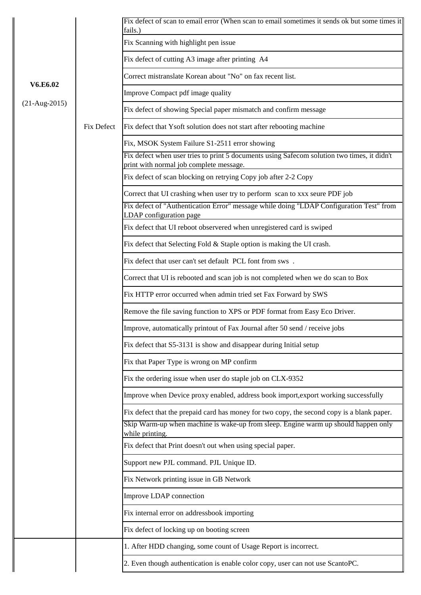|                 |            | Fix defect of scan to email error (When scan to email sometimes it sends ok but some times it<br>fails.)                               |
|-----------------|------------|----------------------------------------------------------------------------------------------------------------------------------------|
|                 |            | Fix Scanning with highlight pen issue                                                                                                  |
|                 |            | Fix defect of cutting A3 image after printing A4                                                                                       |
|                 |            | Correct mistranslate Korean about "No" on fax recent list.                                                                             |
| V6.E6.02        |            | Improve Compact pdf image quality                                                                                                      |
| $(21-Aug-2015)$ | Fix Defect | Fix defect of showing Special paper mismatch and confirm message                                                                       |
|                 |            | Fix defect that Ysoft solution does not start after rebooting machine                                                                  |
|                 |            | Fix, MSOK System Failure S1-2511 error showing                                                                                         |
|                 |            | Fix defect when user tries to print 5 documents using Safecom solution two times, it didn't<br>print with normal job complete message. |
|                 |            | Fix defect of scan blocking on retrying Copy job after 2-2 Copy                                                                        |
|                 |            | Correct that UI crashing when user try to perform scan to xxx seure PDF job                                                            |
|                 |            | Fix defect of "Authentication Error" message while doing "LDAP Configuration Test" from<br>LDAP configuration page                     |
|                 |            | Fix defect that UI reboot observered when unregistered card is swiped                                                                  |
|                 |            | Fix defect that Selecting Fold & Staple option is making the UI crash.                                                                 |
|                 |            | Fix defect that user can't set default PCL font from sws.                                                                              |
|                 |            | Correct that UI is rebooted and scan job is not completed when we do scan to Box                                                       |
|                 |            | Fix HTTP error occurred when admin tried set Fax Forward by SWS                                                                        |
|                 |            | Remove the file saving function to XPS or PDF format from Easy Eco Driver.                                                             |
|                 |            | Improve, automatically printout of Fax Journal after 50 send / receive jobs                                                            |
|                 |            | Fix defect that S5-3131 is show and disappear during Initial setup                                                                     |
|                 |            | Fix that Paper Type is wrong on MP confirm                                                                                             |
|                 |            | Fix the ordering issue when user do staple job on CLX-9352                                                                             |
|                 |            | Improve when Device proxy enabled, address book import, export working successfully                                                    |
|                 |            | Fix defect that the prepaid card has money for two copy, the second copy is a blank paper.                                             |
|                 |            | Skip Warm-up when machine is wake-up from sleep. Engine warm up should happen only<br>while printing.                                  |
|                 |            | Fix defect that Print doesn't out when using special paper.                                                                            |
|                 |            | Support new PJL command. PJL Unique ID.                                                                                                |
|                 |            | Fix Network printing issue in GB Network                                                                                               |
|                 |            | Improve LDAP connection                                                                                                                |
|                 |            | Fix internal error on addressbook importing                                                                                            |
|                 |            | Fix defect of locking up on booting screen                                                                                             |
|                 |            | 1. After HDD changing, some count of Usage Report is incorrect.                                                                        |
|                 |            | 2. Even though authentication is enable color copy, user can not use ScantoPC.                                                         |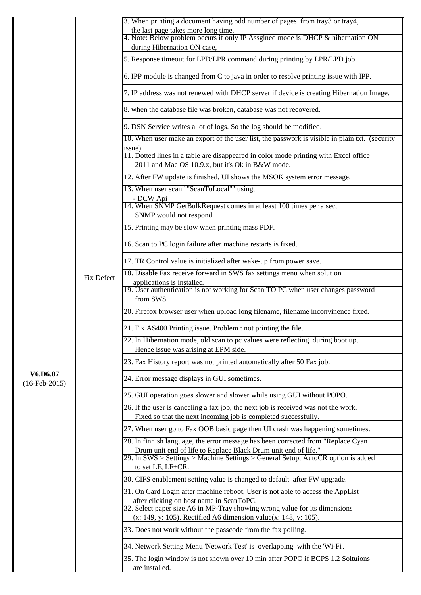|                             |                   | 3. When printing a document having odd number of pages from tray3 or tray4,                                                                                             |
|-----------------------------|-------------------|-------------------------------------------------------------------------------------------------------------------------------------------------------------------------|
|                             |                   | the last page takes more long time.<br>4. Note: Below problem occurs if only IP Assgined mode is DHCP & hibernation ON                                                  |
|                             |                   | during Hibernation ON case,                                                                                                                                             |
|                             |                   | 5. Response timeout for LPD/LPR command during printing by LPR/LPD job.                                                                                                 |
|                             |                   | 6. IPP module is changed from C to java in order to resolve printing issue with IPP.                                                                                    |
|                             |                   | 7. IP address was not renewed with DHCP server if device is creating Hibernation Image.                                                                                 |
|                             |                   | 8. when the database file was broken, database was not recovered.                                                                                                       |
|                             |                   | 9. DSN Service writes a lot of logs. So the log should be modified.                                                                                                     |
|                             |                   | 10. When user make an export of the user list, the passwork is visible in plain txt. (security<br>issue).                                                               |
|                             |                   | 11. Dotted lines in a table are disappeared in color mode printing with Excel office<br>2011 and Mac OS 10.9.x, but it's Ok in B&W mode.                                |
|                             |                   | 12. After FW update is finished, UI shows the MSOK system error message.                                                                                                |
|                             |                   | 13. When user scan ""ScanToLocal"" using,<br>- DCW Api                                                                                                                  |
|                             |                   | 14. When SNMP GetBulkRequest comes in at least 100 times per a sec,<br>SNMP would not respond.                                                                          |
|                             |                   | 15. Printing may be slow when printing mass PDF.                                                                                                                        |
|                             |                   | 16. Scan to PC login failure after machine restarts is fixed.                                                                                                           |
|                             |                   | 17. TR Control value is initialized after wake-up from power save.                                                                                                      |
|                             | <b>Fix Defect</b> | 18. Disable Fax receive forward in SWS fax settings menu when solution                                                                                                  |
|                             |                   | applications is installed.<br>19. User authentication is not working for Scan TO PC when user changes password<br>from SWS.                                             |
|                             |                   | 20. Firefox browser user when upload long filename, filename inconvinence fixed.                                                                                        |
|                             |                   | 21. Fix AS400 Printing issue. Problem : not printing the file.                                                                                                          |
|                             |                   | 22. In Hibernation mode, old scan to pc values were reflecting during boot up.<br>Hence issue was arising at EPM side.                                                  |
|                             |                   | 23. Fax History report was not printed automatically after 50 Fax job.                                                                                                  |
| V6.D6.07<br>$(16-Feb-2015)$ |                   | 24. Error message displays in GUI sometimes.                                                                                                                            |
|                             |                   | 25. GUI operation goes slower and slower while using GUI without POPO.                                                                                                  |
|                             |                   | 26. If the user is canceling a fax job, the next job is received was not the work.<br>Fixed so that the next incoming job is completed successfully.                    |
|                             |                   | 27. When user go to Fax OOB basic page then UI crash was happening sometimes.                                                                                           |
|                             |                   | 28. In finnish language, the error message has been corrected from "Replace Cyan                                                                                        |
|                             |                   | Drum unit end of life to Replace Black Drum unit end of life."<br>29. In SWS > Settings > Machine Settings > General Setup, AutoCR option is added<br>to set LF, LF+CR. |
|                             |                   | 30. CIFS enablement setting value is changed to default after FW upgrade.                                                                                               |
|                             |                   | 31. On Card Login after machine reboot, User is not able to access the AppList                                                                                          |
|                             |                   | after clicking on host name in ScanToPC.<br>32. Select paper size A6 in MP-Tray showing wrong value for its dimensions                                                  |
|                             |                   | $(x: 149, y: 105)$ . Rectified A6 dimension value $(x: 148, y: 105)$ .                                                                                                  |
|                             |                   | 33. Does not work without the passcode from the fax polling.                                                                                                            |
|                             |                   | 34. Network Setting Menu 'Network Test' is overlapping with the 'Wi-Fi'.                                                                                                |
|                             |                   | 35. The login window is not shown over 10 min after POPO if BCPS 1.2 Soltuions<br>are installed.                                                                        |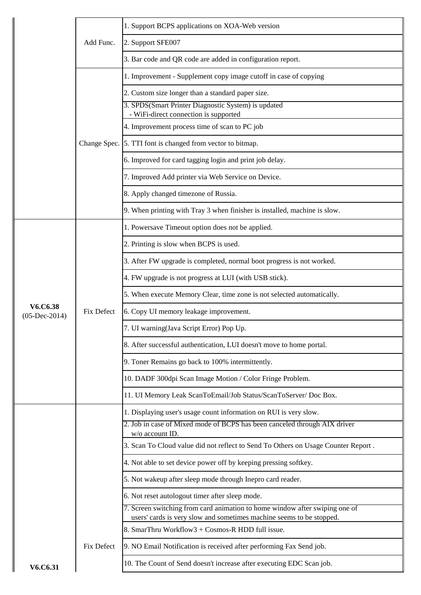|                             | Add Func.         | 1. Support BCPS applications on XOA-Web version                                                                                                     |
|-----------------------------|-------------------|-----------------------------------------------------------------------------------------------------------------------------------------------------|
|                             |                   | 2. Support SFE007                                                                                                                                   |
|                             |                   | 3. Bar code and QR code are added in configuration report.                                                                                          |
|                             |                   | 1. Improvement - Supplement copy image cutoff in case of copying                                                                                    |
|                             |                   | 2. Custom size longer than a standard paper size.                                                                                                   |
|                             |                   | 3. SPDS(Smart Printer Diagnostic System) is updated<br>- WiFi-direct connection is supported                                                        |
|                             |                   | 4. Improvement process time of scan to PC job                                                                                                       |
|                             |                   | Change Spec. 5. TTI font is changed from vector to bitmap.                                                                                          |
|                             |                   | 6. Improved for card tagging login and print job delay.                                                                                             |
|                             |                   | 7. Improved Add printer via Web Service on Device.                                                                                                  |
|                             |                   | 8. Apply changed timezone of Russia.                                                                                                                |
|                             |                   | 9. When printing with Tray 3 when finisher is installed, machine is slow.                                                                           |
|                             |                   | 1. Powersave Timeout option does not be applied.                                                                                                    |
|                             |                   | 2. Printing is slow when BCPS is used.                                                                                                              |
|                             |                   | 3. After FW upgrade is completed, normal boot progress is not worked.                                                                               |
|                             |                   | 4. FW upgrade is not progress at LUI (with USB stick).                                                                                              |
|                             |                   | 5. When execute Memory Clear, time zone is not selected automatically.                                                                              |
| V6.C6.38<br>$(05-Dec-2014)$ | <b>Fix Defect</b> | 6. Copy UI memory leakage improvement.                                                                                                              |
|                             |                   | 7. UI warning(Java Script Error) Pop Up.                                                                                                            |
|                             |                   | 8. After successful authentication, LUI doesn't move to home portal.                                                                                |
|                             |                   | 9. Toner Remains go back to 100% intermittently.                                                                                                    |
|                             |                   | 10. DADF 300dpi Scan Image Motion / Color Fringe Problem.                                                                                           |
|                             |                   | 11. UI Memory Leak ScanToEmail/Job Status/ScanToServer/ Doc Box.                                                                                    |
|                             |                   | 1. Displaying user's usage count information on RUI is very slow.                                                                                   |
|                             |                   | 2. Job in case of Mixed mode of BCPS has been canceled through AIX driver<br>w/o account ID.                                                        |
|                             |                   | 3. Scan To Cloud value did not reflect to Send To Others on Usage Counter Report.                                                                   |
|                             |                   | 4. Not able to set device power off by keeping pressing softkey.                                                                                    |
|                             |                   | 5. Not wakeup after sleep mode through Inepro card reader.                                                                                          |
|                             |                   | 6. Not reset autologout timer after sleep mode.                                                                                                     |
|                             |                   | 7. Screen switching from card animation to home window after swiping one of<br>users' cards is very slow and sometimes machine seems to be stopped. |
|                             | <b>Fix Defect</b> | 8. SmarThru Workflow3 + Cosmos-R HDD full issue.                                                                                                    |
|                             |                   | 9. NO Email Notification is received after performing Fax Send job.                                                                                 |
| V6.C6.31                    |                   | 10. The Count of Send doesn't increase after executing EDC Scan job.                                                                                |